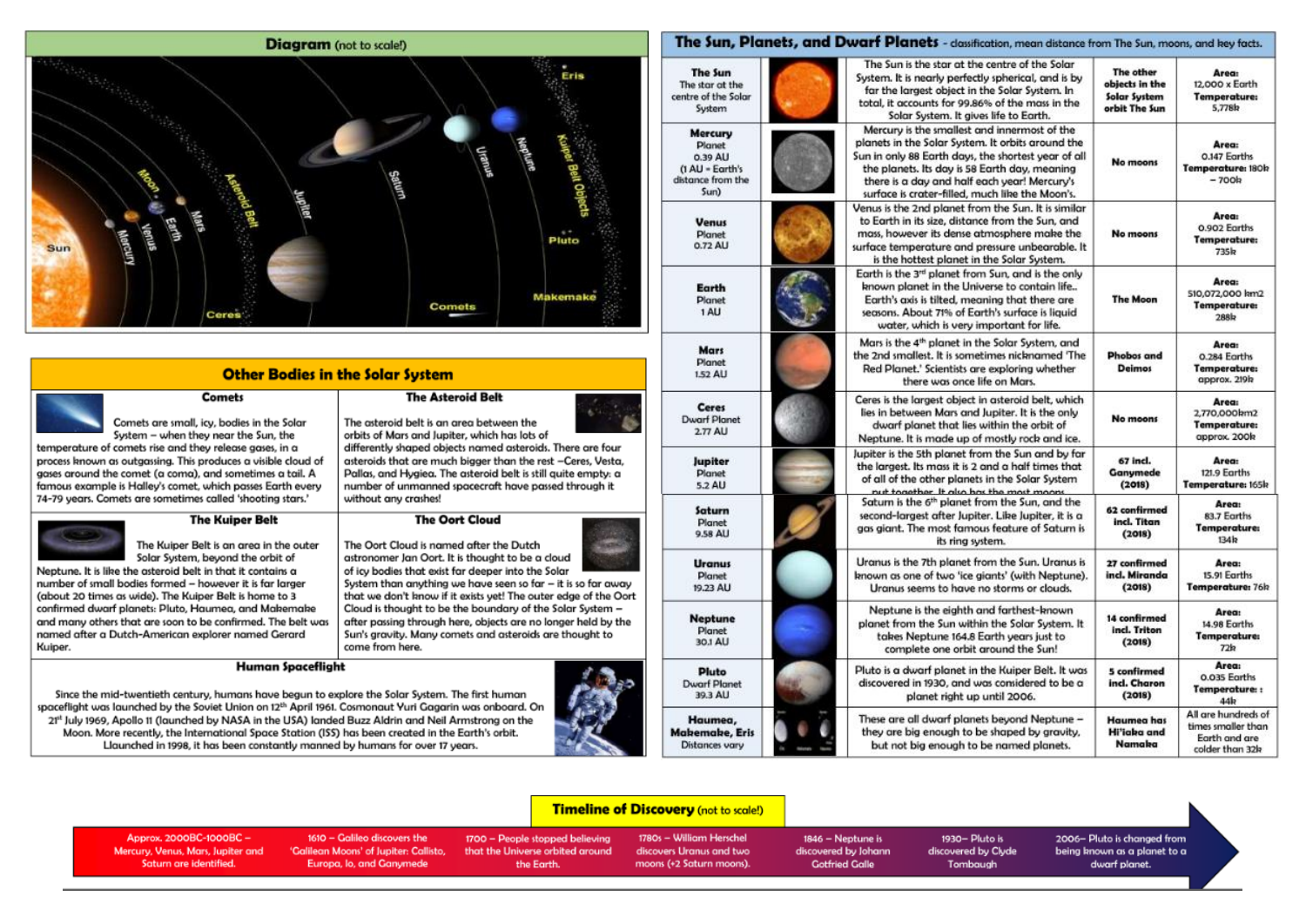# **Diagram** (not to scale!) Eris Pluto econ Sun Makemake **Comets** Ceres

## **Other Bodies in the Solar System**

**The Asteroid Belt** 

**The Oort Cloud** 

astronomer Jan Oort. It is thought to be a cloud

of icy bodies that exist far deeper into the Solar

The Oort Cloud is named after the Dutch

differently shaped objects named asteroids. There are four

asteroids that are much bigger than the rest -Ceres, Vesta,

Pallas, and Hygiea. The asteroid belt is still guite empty: a

System than anything we have seen so far - it is so far away

Cloud is thought to be the boundary of the Solar System -

Sun's gravity. Many comets and asteroids are thought to

after passing through here, objects are no longer held by the

that we don't know if it exists yet! The outer edge of the Oort

number of unmanned spacecraft have passed through it

The asteroid belt is an area between the

without any crashes!

come from here.

orbits of Mars and Jupiter, which has lots of

**Comets** Comets are small, icv, bodies in the Solar System - when they near the Sun, the

temperature of comets rise and they release gases, in a process known as outgassing. This produces a visible cloud of gases around the comet (a coma), and sometimes a tail. A famous example is Halley's comet, which passes Earth every 74-79 vears. Comets are sometimes called 'shooting stars.'

### **The Kuiper Belt**

The Kuiper Belt is an area in the outer Solar System, beyond the orbit of

Neptune. It is like the asteroid belt in that it contains a number of small bodies formed - however it is far larger (about 20 times as wide). The Kuiper Belt is home to 3 confirmed dwarf planets: Pluto, Haumea, and Makemake and many others that are soon to be confirmed. The belt was named after a Dutch-American explorer named Gerard Kuiper.

#### **Human Spaceflight**

Since the mid-twentieth century, humans have begun to explore the Solar System. The first human spaceflight was launched by the Soviet Union on 12th April 1961. Cosmonaut Yuri Gagarin was onboard. On 2<sup>pt</sup> July 1969, Apollo 11 (launched by NASA in the USA) landed Buzz Aldrin and Neil Armstrong on the Moon. More recently, the International Space Station (ISS) has been created in the Earth's orbit. Llaunched in 1998, it has been constantly manned by humans for over 17 years.



| The Sun<br>The star at the<br>centre of the Solar<br>System                         | System. It is nearly perfectly spherical, and is by<br>far the largest object in the Solar System, In<br>total, it accounts for 99.86% of the mass in the<br>Solar System. It gives life to Earth.                                                                                                           | The other<br>objects in the<br>Solar System<br>orbit The Sun | <b>Area:</b><br>12,000 x Earth<br><b>Temperature:</b><br>5,778 <sub>k</sub> |
|-------------------------------------------------------------------------------------|--------------------------------------------------------------------------------------------------------------------------------------------------------------------------------------------------------------------------------------------------------------------------------------------------------------|--------------------------------------------------------------|-----------------------------------------------------------------------------|
| <b>Mercury</b><br>Planet<br>0.39 AU<br>(1 AU - Earth's<br>distance from the<br>Sum) | Mercury is the smallest and innermost of the<br>planets in the Solar System. It orbits around the<br>Sun in only 88 Earth days, the shortest year of all<br>the planets. Its day is 58 Earth day, meaning<br>there is a day and half each year! Mercury's<br>surface is crater-filled, much like the Moon's. | No moons                                                     | Area:<br>0.147 Earths<br>Temperature: 180k<br>$-700k$                       |
| <b>Venus</b><br>Planet<br>0.72 AU                                                   | Venus is the 2nd planet from the Sun. It is similar<br>to Earth in its size, distance from the Sun, and<br>mass, however its dense atmosphere make the<br>surface temperature and pressure unbearable. It<br>is the hottest planet in the Solar System.                                                      | No moons                                                     | Area:<br>0.902 Earths<br><b>Temperature:</b><br><b>735k</b>                 |
| Earth<br>Planet<br>1 AU                                                             | Earth is the 3rd planet from Sun, and is the only<br>known planet in the Universe to contain life<br>Earth's axis is tilted, meaning that there are<br>seasons. About 71% of Earth's surface is liquid<br>water, which is very important for life.                                                           | <b>The Moon</b>                                              | Area:<br>510,072,000 km2<br><b>Temperature:</b><br><b>288k</b>              |
| Mars<br><b>Planet</b><br>1.52 AU                                                    | Mars is the 4 <sup>th</sup> planet in the Solar System, and<br>the 2nd smallest. It is sometimes nicknamed 'The<br>Red Planet.' Scientists are exploring whether<br>there was once life on Mars.                                                                                                             | Phobos and<br>Deimos                                         | Area:<br>0.284 Earths<br><b>Temperature:</b><br>approx. 219k                |
| Ceres<br><b>Dwarf Planet</b><br>$2.77$ AU                                           | Ceres is the largest object in asteroid belt, which<br>lies in between Mars and Jupiter. It is the only<br>dwarf planet that lies within the orbit of<br>Neptune. It is made up of mostly rock and ice.                                                                                                      | No moons                                                     | Area:<br>2,770,000km2<br><b>Temperature:</b><br>approx. 200k                |
| Jupiter<br>Planet<br>5.2 AU                                                         | Jupiter is the 5th planet from the Sun and by far<br>the largest. Its mass it is 2 and a half times that<br>of all of the other planets in the Solar System<br>put together. It also has the most moons                                                                                                      | 67 incl.<br>Ganymede<br>(2018)                               | Area:<br>121.9 Earths<br>Temperature: 165k                                  |
| Saturn<br>Planet<br>9.58 AU                                                         | Satum is the 6 <sup>th</sup> planet from the Sun, and the<br>second-largest after Jupiter. Like Jupiter, it is a<br>aas giant. The most famous feature of Saturn is<br>its ring system.                                                                                                                      | 62 confirmed<br>incl. Titan<br>(2018)                        | Area:<br>83.7 Earths<br><b>Temperature:</b><br>134 <sub>k</sub>             |
| Uranus<br>Planet<br>19.23 AU                                                        | Uranus is the 7th planet from the Sun. Uranus is<br>known as one of two 'ice giants' (with Neptune).<br>Uranus seems to have no storms or clouds.                                                                                                                                                            | 27 confirmed<br>incl. Miranda<br>(2018)                      | Area:<br>15.91 Earths<br>Temperature: 76h                                   |
| Neptune<br><b>Planet</b><br>30.1 AU                                                 | Neptune is the eighth and farthest-known<br>planet from the Sun within the Solar System. It<br>takes Neptune 164.8 Earth years just to<br>complete one orbit around the Sun!                                                                                                                                 | 14 confirmed<br>incl. Triton<br>(2018)                       | Area:<br>14.98 Earths<br><b>Temperature:</b><br>72h                         |
| <b>Pluto</b><br><b>Dwarf Planet</b><br>39.3 AU                                      | Pluto is a dwarf planet in the Kuiper Belt. It was<br>discovered in 1930, and was considered to be a<br>planet right up until 2006.                                                                                                                                                                          | 5 confirmed<br>incl. Charon<br>(2018)                        | Area:<br>0.035 Earths<br>Temperature::<br>44 <sub>k</sub>                   |
| Haumea,<br><b>Makemake, Eris</b><br>Distances yary                                  | These are all dwarf planets beyond Neptune -<br>they are big enough to be shaped by gravity,<br>but not big enough to be named planets.                                                                                                                                                                      | <b>Haumea has</b><br><b>Hi'iaba and</b><br>Namaka            | All are hundreds of<br>times smaller than<br>Earth and are                  |

but not big enough to be named planets.

1930- Pluto is

discovered by Clyde

Tombaugh

The Sun, Planets, and Dwarf Planets - dassification, mean distance from The Sun, moons, and key facts.

The Sun is the star at the centre of the Solar

The other

#### **Timeline of Discovery** (not to scale!)

Approx. 2000BC-1000BC -Mercury, Venus, Mars, Jupiter and Saturn are identified.

1610 - Galileo discovers the 'Galilean Moons' of Jupiter: Callisto, Europa, lo, and Ganymede

1700 - People stopped believing that the Universe orbited around the Forth

1780s - William Herschel discovers Uranus and two moons (+2 Saturn moons).

**Distances** vary

1846 - Neptune is discovered by Johann **Gotfried Galle** 

2006- Pluto is changed from

being known as a planet to a dwarf planet.

colder than 32k